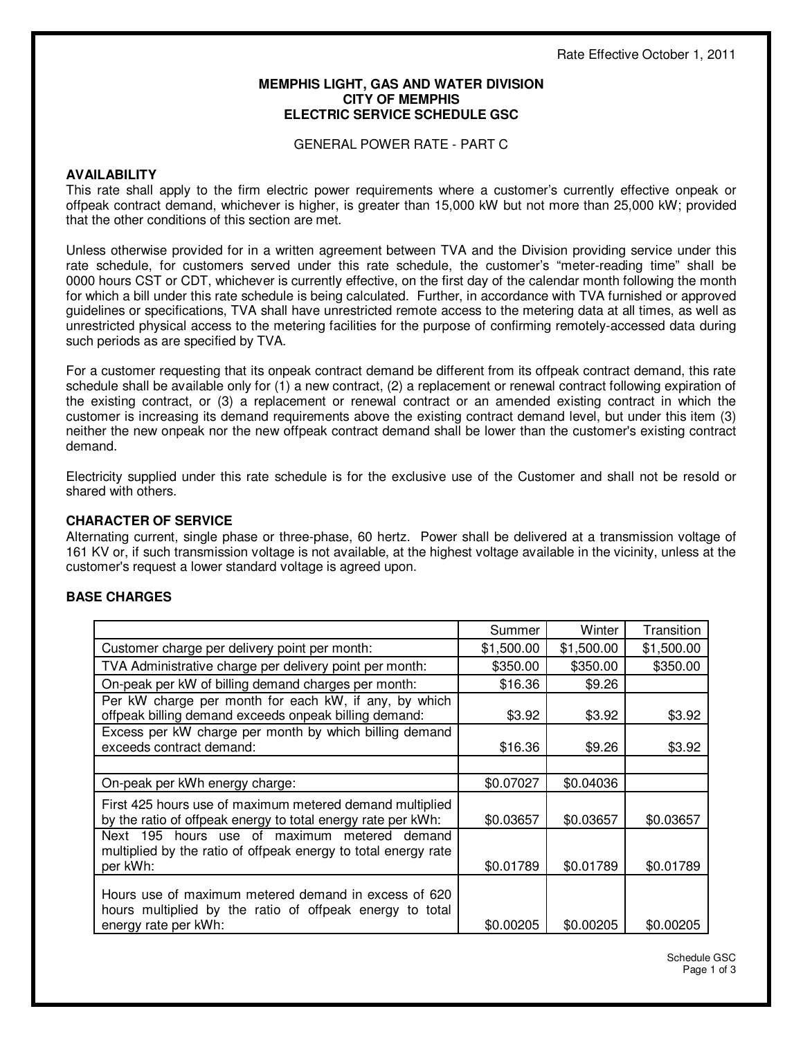#### **MEMPHIS LIGHT, GAS AND WATER DIVISION CITY OF MEMPHIS ELECTRIC SERVICE SCHEDULE GSC**

GENERAL POWER RATE - PART C

### **AVAILABILITY**

This rate shall apply to the firm electric power requirements where a customer's currently effective onpeak or offpeak contract demand, whichever is higher, is greater than 15,000 kW but not more than 25,000 kW; provided that the other conditions of this section are met.

Unless otherwise provided for in a written agreement between TVA and the Division providing service under this rate schedule, for customers served under this rate schedule, the customer's "meter-reading time" shall be 0000 hours CST or CDT, whichever is currently effective, on the first day of the calendar month following the month for which a bill under this rate schedule is being calculated. Further, in accordance with TVA furnished or approved guidelines or specifications, TVA shall have unrestricted remote access to the metering data at all times, as well as unrestricted physical access to the metering facilities for the purpose of confirming remotely-accessed data during such periods as are specified by TVA.

For a customer requesting that its onpeak contract demand be different from its offpeak contract demand, this rate schedule shall be available only for (1) a new contract, (2) a replacement or renewal contract following expiration of the existing contract, or (3) a replacement or renewal contract or an amended existing contract in which the customer is increasing its demand requirements above the existing contract demand level, but under this item (3) neither the new onpeak nor the new offpeak contract demand shall be lower than the customer's existing contract demand.

Electricity supplied under this rate schedule is for the exclusive use of the Customer and shall not be resold or shared with others.

# **CHARACTER OF SERVICE**

Alternating current, single phase or three-phase, 60 hertz. Power shall be delivered at a transmission voltage of 161 KV or, if such transmission voltage is not available, at the highest voltage available in the vicinity, unless at the customer's request a lower standard voltage is agreed upon.

# **BASE CHARGES**

|                                                                                                                                          | Summer     | Winter     | Transition |
|------------------------------------------------------------------------------------------------------------------------------------------|------------|------------|------------|
| Customer charge per delivery point per month:                                                                                            | \$1,500.00 | \$1,500.00 | \$1,500.00 |
| TVA Administrative charge per delivery point per month:                                                                                  | \$350.00   | \$350.00   | \$350.00   |
| On-peak per kW of billing demand charges per month:                                                                                      | \$16.36    | \$9.26     |            |
| Per kW charge per month for each kW, if any, by which<br>offpeak billing demand exceeds onpeak billing demand:                           | \$3.92     | \$3.92     | \$3.92     |
| Excess per kW charge per month by which billing demand<br>exceeds contract demand:                                                       | \$16.36    | \$9.26     | \$3.92     |
|                                                                                                                                          |            |            |            |
| On-peak per kWh energy charge:                                                                                                           | \$0.07027  | \$0.04036  |            |
| First 425 hours use of maximum metered demand multiplied<br>by the ratio of offpeak energy to total energy rate per kWh:                 | \$0.03657  | \$0.03657  | \$0.03657  |
| Next 195 hours use of maximum metered demand<br>multiplied by the ratio of offpeak energy to total energy rate<br>per kWh:               | \$0.01789  | \$0.01789  | \$0.01789  |
| Hours use of maximum metered demand in excess of 620<br>hours multiplied by the ratio of offpeak energy to total<br>energy rate per kWh: | \$0.00205  | \$0.00205  | \$0.00205  |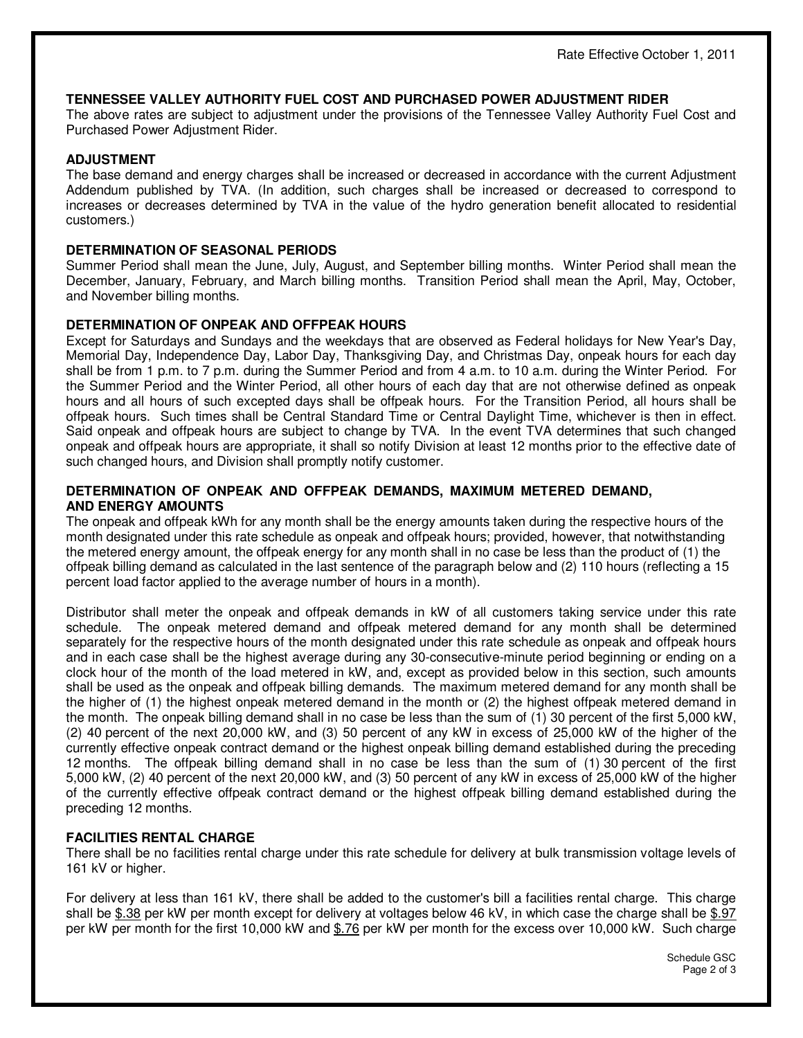# **TENNESSEE VALLEY AUTHORITY FUEL COST AND PURCHASED POWER ADJUSTMENT RIDER**

The above rates are subject to adjustment under the provisions of the Tennessee Valley Authority Fuel Cost and Purchased Power Adjustment Rider.

# **ADJUSTMENT**

The base demand and energy charges shall be increased or decreased in accordance with the current Adjustment Addendum published by TVA. (In addition, such charges shall be increased or decreased to correspond to increases or decreases determined by TVA in the value of the hydro generation benefit allocated to residential customers.)

# **DETERMINATION OF SEASONAL PERIODS**

Summer Period shall mean the June, July, August, and September billing months. Winter Period shall mean the December, January, February, and March billing months. Transition Period shall mean the April, May, October, and November billing months.

# **DETERMINATION OF ONPEAK AND OFFPEAK HOURS**

Except for Saturdays and Sundays and the weekdays that are observed as Federal holidays for New Year's Day, Memorial Day, Independence Day, Labor Day, Thanksgiving Day, and Christmas Day, onpeak hours for each day shall be from 1 p.m. to 7 p.m. during the Summer Period and from 4 a.m. to 10 a.m. during the Winter Period. For the Summer Period and the Winter Period, all other hours of each day that are not otherwise defined as onpeak hours and all hours of such excepted days shall be offpeak hours. For the Transition Period, all hours shall be offpeak hours. Such times shall be Central Standard Time or Central Daylight Time, whichever is then in effect. Said onpeak and offpeak hours are subject to change by TVA. In the event TVA determines that such changed onpeak and offpeak hours are appropriate, it shall so notify Division at least 12 months prior to the effective date of such changed hours, and Division shall promptly notify customer.

### **DETERMINATION OF ONPEAK AND OFFPEAK DEMANDS, MAXIMUM METERED DEMAND, AND ENERGY AMOUNTS**

The onpeak and offpeak kWh for any month shall be the energy amounts taken during the respective hours of the month designated under this rate schedule as onpeak and offpeak hours; provided, however, that notwithstanding the metered energy amount, the offpeak energy for any month shall in no case be less than the product of (1) the offpeak billing demand as calculated in the last sentence of the paragraph below and (2) 110 hours (reflecting a 15 percent load factor applied to the average number of hours in a month).

Distributor shall meter the onpeak and offpeak demands in kW of all customers taking service under this rate schedule. The onpeak metered demand and offpeak metered demand for any month shall be determined separately for the respective hours of the month designated under this rate schedule as onpeak and offpeak hours and in each case shall be the highest average during any 30-consecutive-minute period beginning or ending on a clock hour of the month of the load metered in kW, and, except as provided below in this section, such amounts shall be used as the onpeak and offpeak billing demands. The maximum metered demand for any month shall be the higher of (1) the highest onpeak metered demand in the month or (2) the highest offpeak metered demand in the month. The onpeak billing demand shall in no case be less than the sum of (1) 30 percent of the first 5,000 kW, (2) 40 percent of the next 20,000 kW, and (3) 50 percent of any kW in excess of 25,000 kW of the higher of the currently effective onpeak contract demand or the highest onpeak billing demand established during the preceding 12 months. The offpeak billing demand shall in no case be less than the sum of (1) 30 percent of the first 5,000 kW, (2) 40 percent of the next 20,000 kW, and (3) 50 percent of any kW in excess of 25,000 kW of the higher of the currently effective offpeak contract demand or the highest offpeak billing demand established during the preceding 12 months.

# **FACILITIES RENTAL CHARGE**

There shall be no facilities rental charge under this rate schedule for delivery at bulk transmission voltage levels of 161 kV or higher.

For delivery at less than 161 kV, there shall be added to the customer's bill a facilities rental charge. This charge shall be \$.38 per kW per month except for delivery at voltages below 46 kV, in which case the charge shall be \$.97 per kW per month for the first 10,000 kW and \$.76 per kW per month for the excess over 10,000 kW. Such charge